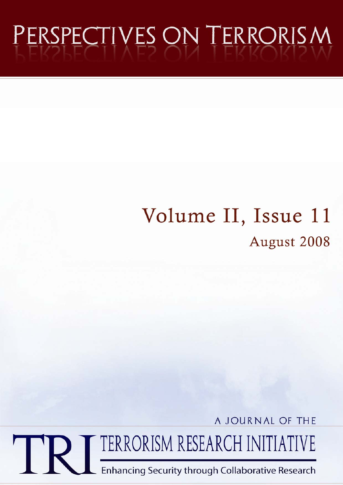# PERSPECTIVES ON TERRORISM

## Volume II, Issue 11 August 2008

A JOURNAL OF THE

TERRORISM RESEARCH INITIATIVE

Enhancing Security through Collaborative Research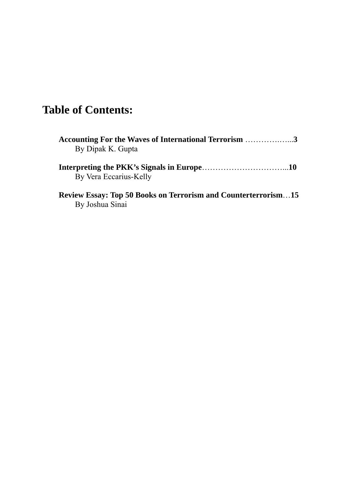### **Table of Contents:**

| Accounting For the Waves of International Terrorism 3<br>By Dipak K. Gupta               |
|------------------------------------------------------------------------------------------|
| By Vera Eccarius-Kelly                                                                   |
| <b>Review Essay: Top 50 Books on Terrorism and Counterterrorism15</b><br>By Joshua Sinai |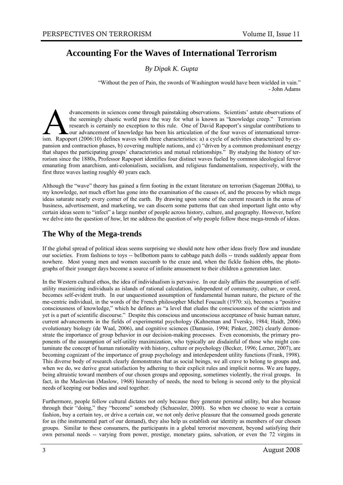#### **Accounting For the Waves of International Terrorism**

*By Dipak K. Gupta* 

"Without the pen of Pain, the swords of Washington would have been wielded in vain." - John Adams

dvancements in sciences come through painstaking observations. Scientists' astute observations of<br>the seemingly chaotic world pave the way for what is known as "knowledge creep." Terrorism<br>research is certainly no exceptio the seemingly chaotic world pave the way for what is known as "knowledge creep." Terrorism research is certainly no exception to this rule. One of David Rapoport's singular contributions to our advancement of knowledge has been his articulation of the four waves of international terrorism. Rapoport (2006:10) defines waves with three characteristics: a) a cycle of activities characterized by expansion and contraction phases, b) covering multiple nations, and c) "driven by a common predominant energy that shapes the participating groups' characteristics and mutual relationships." By studying the history of terrorism since the 1880s, Professor Rapoport identifies four distinct waves fueled by common ideological fervor emanating from anarchism, anti-colonialism, socialism, and religious fundamentalism, respectively, with the first three waves lasting roughly 40 years each.

Although the "wave" theory has gained a firm footing in the extant literature on terrorism (Sageman 2008a), to my knowledge, not much effort has gone into the examination of the causes of, and the process by which mega ideas saturate nearly every corner of the earth. By drawing upon some of the current research in the areas of business, advertisement, and marketing, we can discern some patterns that can shed important light onto why certain ideas seem to "infect" a large number of people across history, culture, and geography. However, before we delve into the question of *how*, let me address the question of *why* people follow these mega-trends of ideas.

#### **The Why of the Mega-trends**

If the global spread of political ideas seems surprising we should note how other ideas freely flow and inundate our societies. From fashions to toys -- bellbottom pants to cabbage patch dolls -- trends suddenly appear from nowhere. Most young men and women succumb to the craze and, when the fickle fashion ebbs, the photographs of their younger days become a source of infinite amusement to their children a generation later.

In the Western cultural ethos, the idea of individualism is pervasive. In our daily affairs the assumption of selfutility maximizing individuals as islands of rational calculation, independent of community, culture, or creed, becomes self-evident truth. In our unquestioned assumption of fundamental human nature, the picture of the me-centric individual, in the words of the French philosopher Michel Foucault (1970: xi), becomes a "positive consciousness of knowledge," which he defines as "a level that eludes the consciousness of the scientists and yet is a part of scientific discourse." Despite this conscious and unconscious acceptance of basic human nature, current advancements in the fields of experimental psychology (Kahneman and Tversky, 1984; Haidt, 2006) evolutionary biology (de Waal, 2006), and cognitive sciences (Damasio, 1994; Pinker, 2002) clearly demonstrate the importance of group behavior in our decision-making processes. Even economists, the primary proponents of the assumption of self-utility maximization, who typically are disdainful of those who might contaminate the concept of human rationality with history, culture or psychology (Becker, 1996; Lerner, 2007), are becoming cognizant of the importance of group psychology and interdependent utility functions (Frank, 1998). This diverse body of research clearly demonstrates that as social beings, we all crave to belong to groups and, when we do, we derive great satisfaction by adhering to their explicit rules and implicit norms. We are happy, being altruistic toward members of our chosen groups and opposing, sometimes violently, the rival groups. In fact, in the Maslovian (Maslow, 1968) hierarchy of needs, the need to belong is second only to the physical needs of keeping our bodies and soul together.

Furthermore, people follow cultural dictates not only because they generate personal utility, but also because through their "doing," they "become" somebody (Schuessler, 2000). So when we choose to wear a certain fashion, buy a certain toy, or drive a certain car, we not only derive pleasure that the consumed goods generate for us (the instrumental part of our demand), they also help us establish our identity as members of our chosen groups. Similar to these consumers, the participants in a global terrorist movement, beyond satisfying their own personal needs -- varying from power, prestige, monetary gains, salvation, or even the 72 virgins in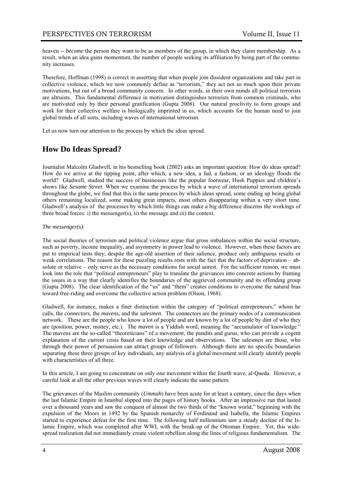heaven -- *become* the person they want to be as members of the group, in which they claim membership. As a result, when an idea gains momentum, the number of people seeking its affiliation by being part of the community increases.

Therefore, Hoffman (1998) is correct in asserting that when people join dissident organizations and take part in collective violence, which we now commonly define as "terrorism," they act not so much upon their private motivations, but out of a broad community concern. In other words, in their own minds all political terrorists are altruists. This fundamental difference in motivation distinguishes terrorists from common criminals, who are motivated only by their personal gratification (Gupta 2008). Our natural proclivity to form groups and work for their collective welfare is biologically imprinted in us, which accounts for the human need to join global trends of all sorts, including waves of international terrorism.

Let us now turn our attention to the process by which the ideas spread.

#### **How Do Ideas Spread?**

Journalist Malcolm Gladwell, in his bestselling book (2002) asks an important question: How do ideas spread? How do we arrive at the tipping point, after which, a new idea, a fad, a fashion, or an ideology floods the world? Gladwell, studied the success of businesses like the popular footwear, Hush Puppies and children's shows like *Sesame Street*. When we examine the process by which a wave of international terrorism spreads throughout the globe, we find that this is the same process by which ideas spread, some ending up being global others remaining localized, some making great impacts, most others disappearing within a very short time. Gladwell's analysis of the processes by which little things can make a big difference discerns the workings of three broad forces: i) the messenger(s), ii) the message and iii) the context.

#### *The messenger(s)*:

The social theories of terrorism and political violence argue that gross imbalances within the social structure, such as poverty, income inequality, and asymmetry in power lead to violence. However, when these factors are put to empirical tests they, despite the age-old assertion of their salience, produce only ambiguous results or weak correlations. The reason for these puzzling results rests with the fact that the factors of deprivation – absolute or relative – only serve as the necessary conditions for social unrest. For the sufficient reason, we must look into the role that "political entrepreneurs" play to translate the grievances into concrete actions by framing the issues in a way that clearly identifies the boundaries of the aggrieved community and its offending group (Gupta 2008). The clear identification of the "us" and "them" creates conditions to overcome the natural bias toward free-riding and overcome the collective action problem (Olson, 1968).

Gladwell, for instance, makes a finer distinction within the category of "political entrepreneurs," whom he calls, the *connectors*, the *mavens*, and the *salesmen*. The connectors are the primary nodes of a communication network. These are the people who know a lot of people and are known by a lot of people by dint of who they are (position, power, money, etc.). The *maven* is a Yiddish word, meaning the "accumulator of knowledge." The mavens are the so-called "theoreticians" of a movement, the pundits and gurus, who can provide a cogent explanation of the current crisis based on their knowledge and observations. The salesmen are those, who through their power of persuasion can attract groups of followers. Although there are no specific boundaries separating these three groups of key individuals, any analysis of a global movement will clearly identify people with characteristics of all three.

In this article, I am going to concentrate on only one movement within the fourth wave, al-Qaeda. However, a careful look at all the other previous waves will clearly indicate the same pattern.

The grievances of the Muslim community (*Ummah*) have been acute for at least a century, since the days when the last Islamic Empire in Istanbul slipped into the pages of history books. After an impressive run that lasted over a thousand years and saw the conquest of almost the two thirds of the "known world," beginning with the expulsion of the Moors in 1492 by the Spanish monarchy of Ferdinand and Isabella, the Islamic Empires started to experience defeat for the first time. The following half millennium saw a steady decline of the Islamic Empire, which was completed after WWI, with the break-up of the Ottoman Empire. Yet, this widespread realization did not immediately create violent rebellion along the lines of religious fundamentalism. The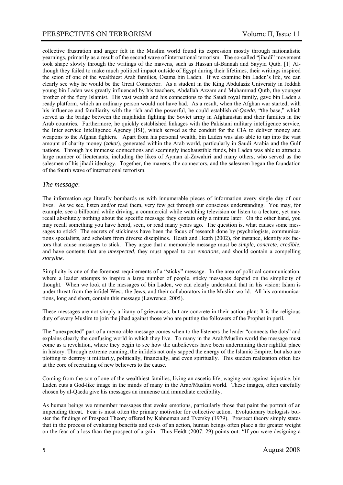collective frustration and anger felt in the Muslim world found its expression mostly through nationalistic yearnings, primarily as a result of the second wave of international terrorism. The so-called "jihadi" movement took shape slowly through the writings of the mavens, such as Hassan al-Bannah and Sayyid Qutb. [1] Although they failed to make much political impact outside of Egypt during their lifetimes, their writings inspired the scion of one of the wealthiest Arab families, Osama bin Laden. If we examine bin Laden's life, we can clearly see why he would be the Great Connector. As a student in the King Abdulaziz University in Jeddah young bin Laden was greatly influenced by his teachers, Abdallah Azzam and Muhammad Qutb, the younger brother of the fiery Islamist. His vast wealth and his connections to the Saudi royal family, gave bin Laden a ready platform, which an ordinary person would not have had. As a result, when the Afghan war started, with his influence and familiarity with the rich and the powerful, he could establish *al-Qaeda*, "the base," which served as the bridge between the mujahidin fighting the Soviet army in Afghanistan and their families in the Arab countries. Furthermore, he quickly established linkages with the Pakistani military intelligence service, the Inter service Intelligence Agency (ISI), which served as the conduit for the CIA to deliver money and weapons to the Afghan fighters. Apart from his personal wealth, bin Laden was also able to tap into the vast amount of charity money (*zakat*), generated within the Arab world, particularly in Saudi Arabia and the Gulf nations. Through his immense connections and seemingly inexhaustible funds, bin Laden was able to attract a large number of lieutenants, including the likes of Ayman al-Zawahiri and many others, who served as the salesmen of his jihadi ideology. Together, the mavens, the connectors, and the salesmen began the foundation of the fourth wave of international terrorism.

#### *The message*:

The information age literally bombards us with innumerable pieces of information every single day of our lives. As we see, listen and/or read them, very few get through our conscious understanding. You may, for example, see a billboard while driving, a commercial while watching television or listen to a lecture, yet may recall absolutely nothing about the specific message they contain only a minute later. On the other hand, you may recall something you have heard, seen, or read many years ago. The question is, what causes some messages to stick? The secrets of stickiness have been the focus of research done by psychologists, communications specialists, and scholars from diverse disciplines. Heath and Heath (2002), for instance, identify six factors that cause messages to stick. They argue that a memorable message must be *simple*, *concrete*, *credible*, and have contents that are *unexpected*, they must appeal to our *emotions*, and should contain a compelling *storyline*.

Simplicity is one of the foremost requirements of a "sticky" message. In the area of political communication, where a leader attempts to inspire a large number of people, sticky messages depend on the simplicity of thought. When we look at the messages of bin Laden, we can clearly understand that in his vision: Islam is under threat from the infidel West, the Jews, and their collaborators in the Muslim world. All his communications, long and short, contain this message (Lawrence, 2005).

These messages are not simply a litany of grievances, but are concrete in their action plan: It is the religious duty of every Muslim to join the jihad against those who are putting the followers of the Prophet in peril.

The "unexpected" part of a memorable message comes when to the listeners the leader "connects the dots" and explains clearly the confusing world in which they live. To many in the Arab/Muslim world the message must come as a revelation, where they begin to see how the unbelievers have been undermining their rightful place in history. Through extreme cunning, the infidels not only sapped the energy of the Islamic Empire, but also are plotting to destroy it militarily, politically, financially, and even spiritually. This sudden realization often lies at the core of recruiting of new believers to the cause.

Coming from the son of one of the wealthiest families, living an ascetic life, waging war against injustice, bin Laden cuts a God-like image in the minds of many in the Arab/Muslim world. These images, often carefully chosen by al-Qaeda give his messages an immense and immediate credibility.

As human beings we remember messages that evoke emotions, particularly those that paint the portrait of an impending threat. Fear is most often the primary motivator for collective action. Evolutionary biologists bolster the findings of Prospect Theory offered by Kahneman and Tversky (1979). Prospect theory simply states that in the process of evaluating benefits and costs of an action, human beings often place a far greater weight on the fear of a loss than the prospect of a gain. Thus Heidt (2007: 29) points out: "If you were designing a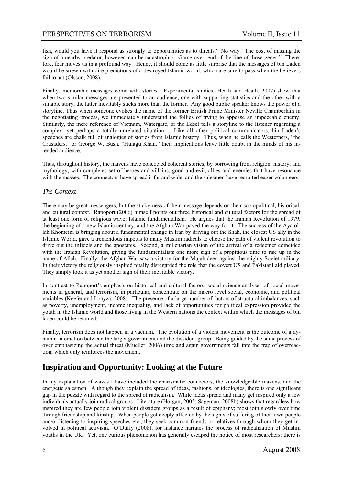fish, would you have it respond as strongly to opportunities as to threats? No way. The cost of missing the sign of a nearby predator, however, can be catastrophic. Game over, end of the line of those genes." Therefore, fear moves us in a profound way. Hence, it should come as little surprise that the messages of bin Laden would be strewn with dire predictions of a destroyed Islamic world, which are sure to pass when the believers fail to act (Olsson, 2008).

Finally, memorable messages come with stories. Experimental studies (Heath and Heath, 2007) show that when two similar messages are presented to an audience, one with supporting statistics and the other with a suitable story, the latter inevitably sticks more than the former. Any good public speaker knows the power of a storyline. Thus when someone evokes the name of the former British Prime Minister Neville Chamberlain in the negotiating process, we immediately understand the follies of trying to appease an impeccable enemy. Similarly, the mere reference of Vietnam, Watergate, or the Edsel tells a storyline to the listener regarding a complex, yet perhaps a totally unrelated situation. Like all other political communicators, bin Laden's speeches are chalk full of analogies of stories from Islamic history. Thus, when he calls the Westerners, "the Crusaders," or George W. Bush, "Hulagu Khan," their implications leave little doubt in the minds of his intended audience.

Thus, throughout history, the mavens have concocted coherent stories, by borrowing from religion, history, and mythology, with completes set of heroes and villains, good and evil, allies and enemies that have resonance with the masses. The connectors have spread it far and wide, and the salesmen have recruited eager volunteers.

#### *The Context*:

There may be great messengers, but the sticky-ness of their message depends on their sociopolitical, historical, and cultural context. Rapoport (2006) himself points out three historical and cultural factors for the spread of at least one form of religious wave: Islamic fundamentalism. He argues that the Iranian Revolution of 1979, the beginning of a new Islamic century, and the Afghan War paved the way for it. The success of the Ayatollah Khomeini is bringing about a fundamental change in Iran by driving out the Shah, the closest US ally in the Islamic World, gave a tremendous impetus to many Muslim radicals to choose the path of violent revolution to drive out the infidels and the apostates. Second, a millenarian vision of the arrival of a redeemer coincided with the Iranian Revolution, giving the fundamentalists one more sign of a propitious time to rise up in the name of Allah. Finally, the Afghan War saw a victory for the Mujahideen against the mighty Soviet military. In their victory the religiously inspired totally disregarded the role that the covert US and Pakistani aid played. They simply took it as yet another sign of their inevitable victory.

In contrast to Rapoport's emphasis on historical and cultural factors, social science analyses of social movements in general, and terrorism, in particular, concentrate on the macro level social, economic, and political variables (Keefer and Loayza, 2008). The presence of a large number of factors of structural imbalances, such as poverty, unemployment, income inequality, and lack of opportunities for political expression provided the youth in the Islamic world and those living in the Western nations the context within which the messages of bin laden could be retained.

Finally, terrorism does not happen in a vacuum. The evolution of a violent movement is the outcome of a dynamic interaction between the target government and the dissident group. Being guided by the same process of over emphasizing the actual threat (Mueller, 2006) time and again governments fall into the trap of overreaction, which only reinforces the movement.

#### **Inspiration and Opportunity: Looking at the Future**

In my explanation of waves I have included the charismatic connectors, the knowledgeable mavens, and the energetic salesmen. Although they explain the spread of ideas, fashions, or ideologies, there is one significant gap in the puzzle with regard to the spread of radicalism. While ideas spread and many get inspired only a few individuals actually join radical groups. Literature (Horgan, 2005; Sageman, 2008b) shows that regardless how inspired they are few people join violent dissident groups as a result of epiphany; most join slowly over time through friendship and kinship. When people get deeply affected by the sights of suffering of their own people and/or listening to inspiring speeches etc., they seek common friends or relatives through whom they get involved in political activism. O'Duffy (2008), for instance narrates the process of radicalization of Muslim youths in the UK. Yet, one curious phenomenon has generally escaped the notice of most researchers: there is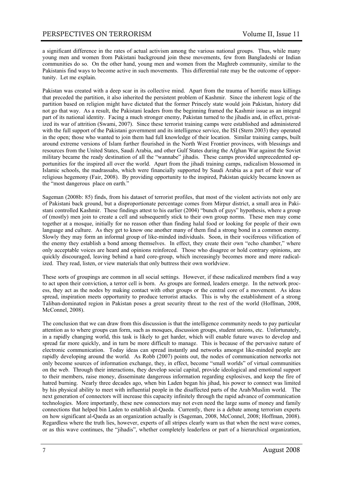a significant difference in the rates of actual activism among the various national groups. Thus, while many young men and women from Pakistani background join these movements, few from Bangladeshi or Indian communities do so. On the other hand, young men and women from the Maghreb community, similar to the Pakistanis find ways to become active in such movements. This differential rate may be the outcome of opportunity. Let me explain.

Pakistan was created with a deep scar in its collective mind. Apart from the trauma of horrific mass killings that preceded the partition, it also inherited the persistent problem of Kashmir. Since the inherent logic of the partition based on religion might have dictated that the former Princely state would join Pakistan, history did not go that way. As a result, the Pakistani leaders from the beginning framed the Kashmir issue as an integral part of its national identity. Facing a much stronger enemy, Pakistan turned to the jihadis and, in effect, privatized its war of attrition (Swami, 2007). Since these terrorist training camps were established and administered with the full support of the Pakistani government and its intelligence service, the ISI (Stern 2003) they operated in the open; those who wanted to join them had full knowledge of their location. Similar training camps, built around extreme versions of Islam further flourished in the North West Frontier provinces, with blessings and resources from the United States, Saudi Arabia, and other Gulf States during the Afghan War against the Soviet military became the ready destination of all the "wannabe" jihadis. These camps provided unprecedented opportunities for the inspired all over the world. Apart from the jihadi training camps, radicalism blossomed in Islamic schools, the madrassahs, which were financially supported by Saudi Arabia as a part of their war of religious hegemony (Fair, 2008). By providing opportunity to the inspired, Pakistan quickly became known as the "most dangerous place on earth."

Sageman (2008b: 85) finds, from his dataset of terrorist profiles, that most of the violent activists not only are of Pakistani back ground, but a disproportionate percentage comes from Mirpur district, a small area in Pakistani controlled Kashmir. These findings attest to his earlier (2004) "bunch of guys" hypothesis, where a group of (mostly) men join to create a cell and subsequently stick to their own group norms. These men may come together at a mosque, initially for no reason other than finding halal food or looking for people of their own language and culture. As they get to know one another many of them find a strong bond in a common enemy. Slowly they may form an informal group of like-minded individuals. Soon, in their vociferous vilification of the enemy they establish a bond among themselves. In effect, they create their own "echo chamber," where only acceptable voices are heard and opinions reinforced. Those who disagree or hold contrary opinions, are quickly discouraged, leaving behind a hard core-group, which increasingly becomes more and more radicalized. They read, listen, or view materials that only buttress their own worldview.

These sorts of groupings are common in all social settings. However, if these radicalized members find a way to act upon their conviction, a terror cell is born. As groups are formed, leaders emerge. In the network process, they act as the nodes by making contact with other groups or the central core of a movement. As ideas spread, inspiration meets opportunity to produce terrorist attacks. This is why the establishment of a strong Taliban-dominated region in Pakistan poses a great security threat to the rest of the world (Hoffman, 2008, McConnel, 2008).

The conclusion that we can draw from this discussion is that the intelligence community needs to pay particular attention as to where groups can form, such as mosques, discussion groups, student unions, etc. Unfortunately, in a rapidly changing world, this task is likely to get harder, which will enable future waves to develop and spread far more quickly, and in turn be more difficult to manage. This is because of the pervasive nature of electronic communication. Today ideas can spread instantly and networks amongst like-minded people are rapidly developing around the world. As Robb (2007) points out, the nodes of communication networks not only become sources of information exchange, they, in effect, become "small worlds" of virtual communities on the web. Through their interactions, they develop social capital, provide ideological and emotional support to their members, raise money, disseminate dangerous information regarding explosives, and keep the fire of hatred burning. Nearly three decades ago, when bin Laden began his jihad, his power to connect was limited by his physical ability to meet with influential people in the disaffected parts of the Arab/Muslim world. The next generation of connectors will increase this capacity infinitely through the rapid advance of communication technologies. More importantly, these new connectors may not even need the large sums of money and family connections that helped bin Laden to establish al-Qaeda. Currently, there is a debate among terrorism experts on how significant al-Qaeda as an organization actually is (Sageman, 2008, McConnel, 2008; Hoffman, 2008). Regardless where the truth lies, however, experts of all stripes clearly warn us that when the next wave comes, or as this wave continues, the "jihadis", whether completely leaderless or part of a hierarchical organization,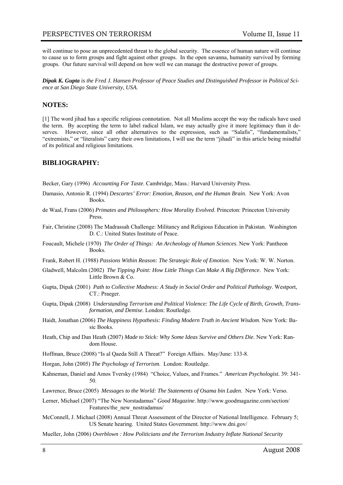will continue to pose an unprecedented threat to the global security. The essence of human nature will continue to cause us to form groups and fight against other groups. In the open savanna, humanity survived by forming groups. Our future survival will depend on how well we can manage the destructive power of groups.

*Dipak K. Gupta is the Fred J. Hansen Professor of Peace Studies and Distinguished Professor in Political Science at San Diego State University, USA.* 

#### **NOTES:**

[1] The word jihad has a specific religious connotation. Not all Muslims accept the way the radicals have used the term. By accepting the term to label radical Islam, we may actually give it more legitimacy than it deserves. However, since all other alternatives to the expression, such as "Salafis", "fundamentalists," "extremists," or "literalists" carry their own limitations, I will use the term "jihadi" in this article being mindful of its political and religious limitations.

#### **BIBLIOGRAPHY:**

Becker, Gary (1996) *Accounting For Taste*. Cambridge, Mass.: Harvard University Press.

- Damasio, Antonio R. (1994) *Descartes' Error: Emotion, Reason, and the Human Brain*. New York: Avon Books.
- de Waal, Frans (2006) *Primates and Philosophers: How Morality Evolved*. Princeton: Princeton University Press.
- Fair, Christine (2008) The Madrassah Challenge: Militancy and Religious Education in Pakistan. Washington D. C.: United States Institute of Peace.
- Foucault, Michele (1970) *The Order of Things: An Archeology of Human Sciences*. New York: Pantheon Books.

Frank, Robert H. (1988) *Passions Within Reason: The Strategic Role of Emotion*. New York: W. W. Norton.

- Gladwell, Malcolm (2002) *The Tipping Point: How Little Things Can Make A Big Difference*. New York: Little Brown & Co.
- Gupta, Dipak (2001) *Path to Collective Madness: A Study in Social Order and Political Pathology*. Westport, CT.: Praeger.
- Gupta, Dipak (2008) *Understanding Terrorism and Political Violence: The Life Cycle of Birth, Growth, Transformation, and Demise*. London: Routledge.
- Haidt, Jonathan (2006) *The Happiness Hypothesis: Finding Modern Truth in Ancient Wisdom*. New York: Basic Books.
- Heath, Chip and Dan Heath (2007) *Made to Stick: Why Some Ideas Survive and Others Die*. New York: Random House.
- Hoffman, Bruce (2008) "Is al Qaeda Still A Threat?" Foreign Affairs. May/June: 133-8.
- Horgan, John (2005) *The Psychology of Terrorism*. London: Routledge.
- Kahneman, Daniel and Amos Tversky (1984) "Choice, Values, and Frames." *American Psychologist*. 39: 341- 50.
- Lawrence, Bruce (2005) *Messages to the World: The Statements of Osama bin Laden*. New York: Verso.
- Lerner, Michael (2007) "The New Norstadamus" *Good Magazine*. http://www.goodmagazine.com/section/ Features/the\_new\_nostradamus/
- McConnell, J. Michael (2008) Annual Threat Assessment of the Director of National Intelligence. February 5; US Senate hearing. United States Government. http://www.dni.gov/

Mueller, John (2006) *Overblown : How Politicians and the Terrorism Industry Inflate National Security*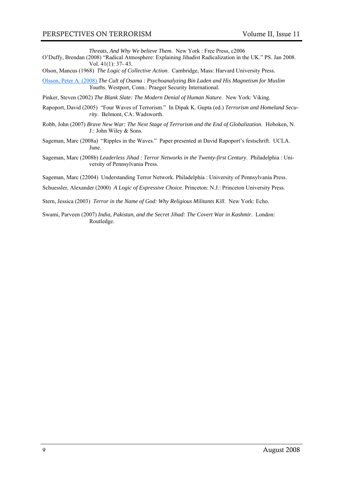*Threats, And Why We believe Them*. New York : Free Press, c2006

O'Duffy, Brendan (2008) "Radical Atmosphere: Explaining Jihadist Radicalization in the UK." PS. Jan 2008. Vol. 41(1): 37- 43.

Olson, Mancus (1968) *The Logic of Collective Action*. Cambridge, Mass: Harvard University Press.

Olsson, Peter A. (2008) *The Cult of Osama : Psychoanalyzing Bin Laden and His Magnetism for Muslim Youths*. Westport, Conn.: Praeger Security International.

Pinker, Steven (2002) *The Blank Slate: The Modern Denial of Human Nature*. New York: Viking.

- Rapoport, David (2005) "Four Waves of Terrorism." In Dipak K. Gupta (ed.) *Terrorism and Homeland Security*. Belmont, CA: Wadsworth.
- Robb, John (2007) *Brave New War: The Next Stage of Terrorism and the End of Globalization*. Hoboken, N. J.: John Wiley & Sons.
- Sageman, Marc (2008a) "Ripples in the Waves." Paper presented at David Rapoport's festschrift. UCLA. June.
- Sageman, Marc (2008b) *Leaderless Jihad : Terror Networks in the Twenty-first Century*. Philadelphia : University of Pennsylvania Press.
- Sageman, Marc (22004) Understanding Terror Network. Philadelphia : University of Pennsylvania Press.
- Schuessler, Alexander (2000) *A Logic of Expressive Choice*. Princeton: N.J.: Princeton University Press.
- Stern, Jessica (2003) *Terror in the Name of God: Why Religious Militants Kill*. New York: Echo.
- Swami, Parveen (2007) *India, Pakistan, and the Secret Jihad: The Covert War in Kashmir*. London: Routledge.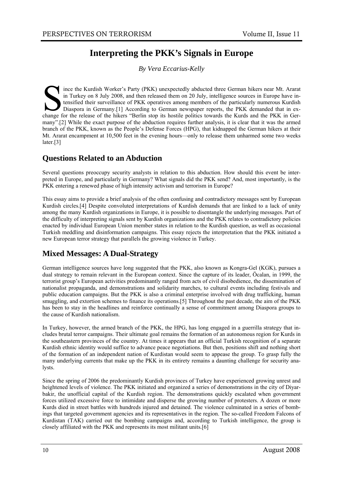#### **Interpreting the PKK's Signals in Europe**

*By Vera Eccarius-Kelly* 

ince the Kurdish Worker's Party (PKK) unexpectedly abducted three German hikers near Mt. Ararat<br>in Turkey on 8 July 2008, and then released them on 20 July, intelligence sources in Europe have in-<br>tensified their surveilla in Turkey on 8 July 2008, and then released them on 20 July, intelligence sources in Europe have intensified their surveillance of PKK operatives among members of the particularly numerous Kurdish Diaspora in Germany.[1] According to German newspaper reports, the PKK demanded that in exchange for the release of the hikers "Berlin stop its hostile politics towards the Kurds and the PKK in Germany".[2] While the exact purpose of the abduction requires further analysis, it is clear that it was the armed branch of the PKK, known as the People's Defense Forces (HPG), that kidnapped the German hikers at their Mt. Ararat encampment at 10,500 feet in the evening hours—only to release them unharmed some two weeks later.[3]

#### **Questions Related to an Abduction**

Several questions preoccupy security analysts in relation to this abduction. How should this event be interpreted in Europe, and particularly in Germany? What signals did the PKK send? And, most importantly, is the PKK entering a renewed phase of high intensity activism and terrorism in Europe?

This essay aims to provide a brief analysis of the often confusing and contradictory messages sent by European Kurdish circles.[4] Despite convoluted interpretations of Kurdish demands that are linked to a lack of unity among the many Kurdish organizations in Europe, it is possible to disentangle the underlying messages. Part of the difficulty of interpreting signals sent by Kurdish organizations and the PKK relates to contradictory policies enacted by individual European Union member states in relation to the Kurdish question, as well as occasional Turkish meddling and disinformation campaigns. This essay rejects the interpretation that the PKK initiated a new European terror strategy that parallels the growing violence in Turkey.

#### **Mixed Messages: A Dual-Strategy**

German intelligence sources have long suggested that the PKK, also known as Kongra-Gel (KGK), pursues a dual strategy to remain relevant in the European context. Since the capture of its leader, Öcalan, in 1999, the terrorist group's European activities predominantly ranged from acts of civil disobedience, the dissemination of nationalist propaganda, and demonstrations and solidarity marches, to cultural events including festivals and public education campaigns. But the PKK is also a criminal enterprise involved with drug trafficking, human smuggling, and extortion schemes to finance its operations.[5] Throughout the past decade, the aim of the PKK has been to stay in the headlines and reinforce continually a sense of commitment among Diaspora groups to the cause of Kurdish nationalism.

In Turkey, however, the armed branch of the PKK, the HPG, has long engaged in a guerrilla strategy that includes brutal terror campaigns. Their ultimate goal remains the formation of an autonomous region for Kurds in the southeastern provinces of the country. At times it appears that an official Turkish recognition of a separate Kurdish ethnic identity would suffice to advance peace negotiations. But then, positions shift and nothing short of the formation of an independent nation of Kurdistan would seem to appease the group. To grasp fully the many underlying currents that make up the PKK in its entirety remains a daunting challenge for security analysts.

Since the spring of 2006 the predominantly Kurdish provinces of Turkey have experienced growing unrest and heightened levels of violence. The PKK initiated and organized a series of demonstrations in the city of Diyarbakir, the unofficial capital of the Kurdish region. The demonstrations quickly escalated when government forces utilized excessive force to intimidate and disperse the growing number of protesters. A dozen or more Kurds died in street battles with hundreds injured and detained. The violence culminated in a series of bombings that targeted government agencies and its representatives in the region. The so-called Freedom Falcons of Kurdistan (TAK) carried out the bombing campaigns and, according to Turkish intelligence, the group is closely affiliated with the PKK and represents its most militant units.[6]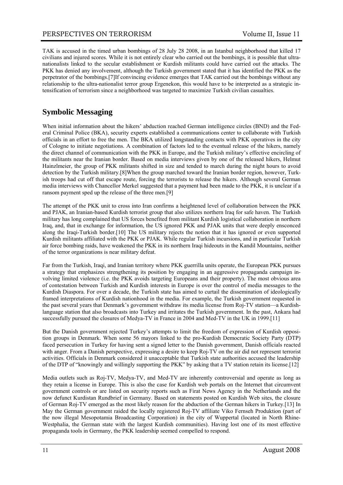TAK is accused in the timed urban bombings of 28 July 28 2008, in an Istanbul neighborhood that killed 17 civilians and injured scores. While it is not entirely clear who carried out the bombings, it is possible that ultranationalists linked to the secular establishment or Kurdish militants could have carried out the attacks. The PKK has denied any involvement, although the Turkish government stated that it has identified the PKK as the perpetrator of the bombings.[7]If convincing evidence emerges that TAK carried out the bombings without any relationship to the ultra-nationalist terror group Ergenekon, this would have to be interpreted as a strategic intensification of terrorism since a neighborhood was targeted to maximize Turkish civilian casualties.

#### **Symbolic Messaging**

When initial information about the hikers' abduction reached German intelligence circles (BND) and the Federal Criminal Police (BKA), security experts established a communications center to collaborate with Turkish officials in an effort to free the men. The BKA utilized longstanding contacts with PKK operatives in the city of Cologne to initiate negotiations. A combination of factors led to the eventual release of the hikers, namely the direct channel of communication with the PKK in Europe, and the Turkish military's effective encircling of the militants near the Iranian border. Based on media interviews given by one of the released hikers, Helmut Hainzlmeier, the group of PKK militants shifted in size and tended to march during the night hours to avoid detection by the Turkish military.[8]When the group marched toward the Iranian border region, however, Turkish troops had cut off that escape route, forcing the terrorists to release the hikers. Although several German media interviews with Chancellor Merkel suggested that a payment had been made to the PKK, it is unclear if a ransom payment sped up the release of the three men.[9]

The attempt of the PKK unit to cross into Iran confirms a heightened level of collaboration between the PKK and PJAK, an Iranian-based Kurdish terrorist group that also utilizes northern Iraq for safe haven. The Turkish military has long complained that US forces benefited from militant Kurdish logistical collaboration in northern Iraq, and, that in exchange for information, the US ignored PKK and PJAK units that were deeply ensconced along the Iraqi-Turkish border.[10] The US military rejects the notion that it has ignored or even supported Kurdish militants affiliated with the PKK or PJAK. While regular Turkish incursions, and in particular Turkish air force bombing raids, have weakened the PKK in its northern Iraqi hideouts in the Kandil Mountains, neither of the terror organizations is near military defeat.

Far from the Turkish, Iraqi, and Iranian territory where PKK guerrilla units operate, the European PKK pursues a strategy that emphasizes strengthening its position by engaging in an aggressive propaganda campaign involving limited violence (i.e. the PKK avoids targeting Europeans and their property). The most obvious area of contestation between Turkish and Kurdish interests in Europe is over the control of media messages to the Kurdish Diaspora. For over a decade, the Turkish state has aimed to curtail the dissemination of ideologically framed interpretations of Kurdish nationhood in the media. For example, the Turkish government requested in the past several years that Denmark's government withdraw its media license from Roj-TV station—a Kurdishlanguage station that also broadcasts into Turkey and irritates the Turkish government. In the past, Ankara had successfully pursued the closures of Medya-TV in France in 2004 and Med-TV in the UK in 1999.[11]

But the Danish government rejected Turkey's attempts to limit the freedom of expression of Kurdish opposition groups in Denmark. When some 56 mayors linked to the pro-Kurdish Democratic Society Party (DTP) faced persecution in Turkey for having sent a signed letter to the Danish government, Danish officials reacted with anger. From a Danish perspective, expressing a desire to keep Roj-TV on the air did not represent terrorist activities. Officials in Denmark considered it unacceptable that Turkish state authorities accused the leadership of the DTP of "knowingly and willingly supporting the PKK" by asking that a TV station retain its license.[12]

Media outlets such as Roj-TV, Medya-TV, and Med-TV are inherently controversial and operate as long as they retain a license in Europe. This is also the case for Kurdish web portals on the Internet that circumvent government controls or are listed on security reports such as Firat News Agency in the Netherlands and the now defunct Kurdistan Rundbrief in Germany. Based on statements posted on Kurdish Web sites, the closure of German Roj-TV emerged as the most likely reason for the abduction of the German hikers in Turkey.[13] In May the German government raided the locally registered Roj-TV affiliate Viko Fernseh Produktion (part of the now illegal Mesopotamia Broadcasting Corporation) in the city of Wuppertal (located in North Rhine-Westphalia, the German state with the largest Kurdish communities). Having lost one of its most effective propaganda tools in Germany, the PKK leadership seemed compelled to respond.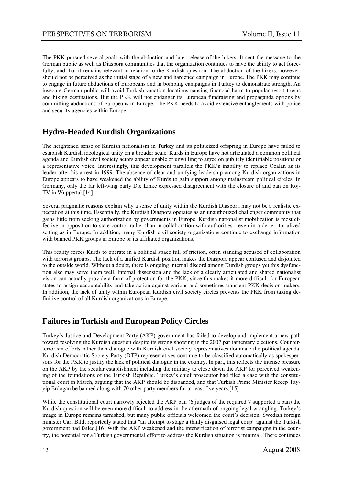The PKK pursued several goals with the abduction and later release of the hikers. It sent the message to the German public as well as Diaspora communities that the organization continues to have the ability to act forcefully, and that it remains relevant in relation to the Kurdish question. The abduction of the hikers, however, should not be perceived as the initial stage of a new and hardened campaign in Europe. The PKK may continue to engage in future abductions of Europeans and in bombing campaigns in Turkey to demonstrate strength. An insecure German public will avoid Turkish vacation locations causing financial harm to popular resort towns and hiking destinations. But the PKK will not endanger its European fundraising and propaganda options by committing abductions of Europeans in Europe. The PKK needs to avoid extensive entanglements with police and security agencies within Europe.

#### **Hydra-Headed Kurdish Organizations**

The heightened sense of Kurdish nationalism in Turkey and its politicized offspring in Europe have failed to establish Kurdish ideological unity on a broader scale. Kurds in Europe have not articulated a common political agenda and Kurdish civil society actors appear unable or unwilling to agree on publicly identifiable positions or a representative voice. Interestingly, this development parallels the PKK's inability to replace Öcalan as its leader after his arrest in 1999. The absence of clear and unifying leadership among Kurdish organizations in Europe appears to have weakened the ability of Kurds to gain support among mainstream political circles. In Germany, only the far left-wing party Die Linke expressed disagreement with the closure of and ban on Roj-TV in Wuppertal.[14]

Several pragmatic reasons explain why a sense of unity within the Kurdish Diaspora may not be a realistic expectation at this time. Essentially, the Kurdish Diaspora operates as an unauthorized challenger community that gains little from seeking authorization by governments in Europe. Kurdish nationalist mobilization is most effective in opposition to state control rather than in collaboration with authorities—even in a de-territorialized setting as in Europe. In addition, many Kurdish civil society organizations continue to exchange information with banned PKK groups in Europe or its affiliated organizations.

This reality forces Kurds to operate in a political space full of friction, often standing accused of collaboration with terrorist groups. The lack of a unified Kurdish position makes the Diaspora appear confused and disjointed to the outside world. Without a doubt, there is ongoing internal discord among Kurdish groups yet this dysfunction also may serve them well. Internal dissension and the lack of a clearly articulated and shared nationalist vision can actually provide a form of protection for the PKK, since this makes it more difficult for European states to assign accountability and take action against various and sometimes transient PKK decision-makers. In addition, the lack of unity within European Kurdish civil society circles prevents the PKK from taking definitive control of all Kurdish organizations in Europe.

#### **Failures in Turkish and European Policy Circles**

Turkey's Justice and Development Party (AKP) government has failed to develop and implement a new path toward resolving the Kurdish question despite its strong showing in the 2007 parliamentary elections. Counterterrorism efforts rather than dialogue with Kurdish civil society representatives dominate the political agenda. Kurdish Democratic Society Party (DTP) representatives continue to be classified automatically as spokespersons for the PKK to justify the lack of political dialogue in the country. In part, this reflects the intense pressure on the AKP by the secular establishment including the military to close down the AKP for perceived weakening of the foundations of the Turkish Republic. Turkey's chief prosecutor had filed a case with the constitutional court in March, arguing that the AKP should be disbanded, and that Turkish Prime Minister Recep Tayyip Erdogan be banned along with 70 other party members for at least five years.[15]

While the constitutional court narrowly rejected the AKP ban (6 judges of the required 7 supported a ban) the Kurdish question will be even more difficult to address in the aftermath of ongoing legal wrangling. Turkey's image in Europe remains tarnished, but many public officials welcomed the court's decision. Swedish foreign minister Carl Bildt reportedly stated that "an attempt to stage a thinly disguised legal coup" against the Turkish government had failed.[16] With the AKP weakened and the intensification of terrorist campaigns in the country, the potential for a Turkish governmental effort to address the Kurdish situation is minimal. There continues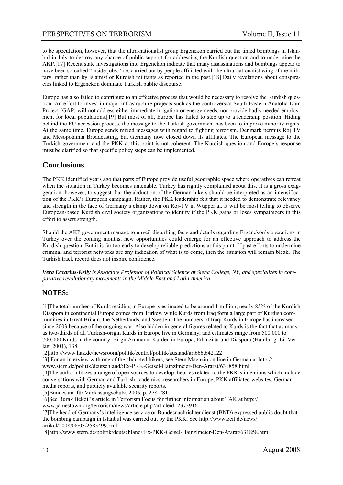to be speculation, however, that the ultra-nationalist group Ergenekon carried out the timed bombings in Istanbul in July to destroy any chance of public support for addressing the Kurdish question and to undermine the AKP.[17] Recent state investigations into Ergenekon indicate that many assassinations and bombings appear to have been so-called "inside jobs," i.e. carried out by people affiliated with the ultra-nationalist wing of the military, rather than by Islamist or Kurdish militants as reported in the past.[18] Daily revelations about conspiracies linked to Ergenekon dominate Turkish public discourse.

Europe has also failed to contribute to an effective process that would be necessary to resolve the Kurdish question. An effort to invest in major infrastructure projects such as the controversial South-Eastern Anatolia Dam Project (GAP) will not address either immediate irrigation or energy needs, nor provide badly needed employment for local populations.[19] But most of all, Europe has failed to step up to a leadership position. Hiding behind the EU accession process, the message to the Turkish government has been to improve minority rights. At the same time, Europe sends mixed messages with regard to fighting terrorism. Denmark permits Roj TV and Mesopotamia Broadcasting, but Germany now closed down its affiliates. The European message to the Turkish government and the PKK at this point is not coherent. The Kurdish question and Europe's response must be clarified so that specific policy steps can be implemented.

#### **Conclusions**

The PKK identified years ago that parts of Europe provide useful geographic space where operatives can retreat when the situation in Turkey becomes untenable. Turkey has rightly complained about this. It is a gross exaggeration, however, to suggest that the abduction of the German hikers should be interpreted as an intensification of the PKK's European campaign. Rather, the PKK leadership felt that it needed to demonstrate relevancy and strength in the face of Germany's clamp down on Roj-TV in Wuppertal. It will be most telling to observe European-based Kurdish civil society organizations to identify if the PKK gains or loses sympathizers in this effort to assert strength.

Should the AKP government manage to unveil disturbing facts and details regarding Ergenekon's operations in Turkey over the coming months, new opportunities could emerge for an effective approach to address the Kurdish question. But it is far too early to develop reliable predictions at this point. If past efforts to undermine criminal and terrorist networks are any indication of what is to come, then the situation will remain bleak. The Turkish track record does not inspire confidence.

*Vera Eccarius-Kelly is Associate Professor of Political Science at Siena College, NY, and specializes in comparative revolutionary movements in the Middle East and Latin America.*

#### **NOTES:**

[1]The total number of Kurds residing in Europe is estimated to be around 1 million; nearly 85% of the Kurdish Diaspora in continental Europe comes from Turkey, while Kurds from Iraq form a large part of Kurdish communities in Great Britain, the Netherlands, and Sweden. The numbers of Iraqi Kurds in Europe has increased since 2003 because of the ongoing war. Also hidden in general figures related to Kurds is the fact that as many as two-thirds of all Turkish-origin Kurds in Europe live in Germany, and estimates range from 500,000 to 700,000 Kurds in the country. Birgit Ammann, Kurden in Europa, Ethnizität und Diaspora (Hamburg: Lit Verlag, 2001), 138.

[2]http://www.haz.de/newsroom/politik/zentral/politik/ausland/art666,642122

[3] For an interview with one of the abducted hikers, see Stern Magazin on line in German at http://

www.stern.de/politik/deutschland/:Ex-PKK-Geisel-Hainzlmeier-Den-Ararat/631858.html

[4]The author utilizes a range of open sources to develop theories related to the PKK's intentions which include conversations with German and Turkish academics, researchers in Europe, PKK affiliated websites, German media reports, and publicly available security reports.

[5]Bundesamt für Verfassungschutz, 2006, p. 278-281.

[6]See Burak Bekdil's article in Terrorism Focus for further information about TAK at http://

www.jamestown.org/terrorism/news/article.php?articleid=2373916

[7]The head of Germany's intelligence service or Bundesnachrichtendienst (BND) expressed public doubt that the bombing campaign in Istanbul was carried out by the PKK. See http://www.zeit.de/news/ artikel/2008/08/03/2585499.xml

[8]http://www.stern.de/politik/deutschland/:Ex-PKK-Geisel-Hainzlmeier-Den-Ararat/631858.html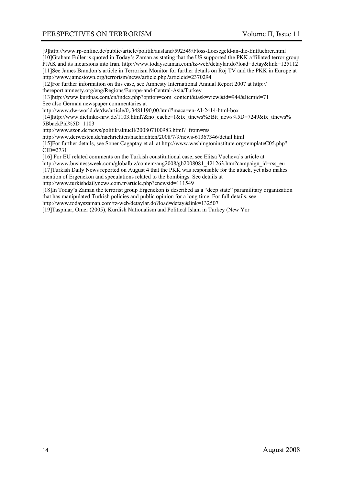[9]http://www.rp-online.de/public/article/politik/ausland/592549/Floss-Loesegeld-an-die-Entfuehrer.html

[10]Graham Fuller is quoted in Today's Zaman as stating that the US supported the PKK affiliated terror group PJAK and its incursions into Iran. http://www.todayszaman.com/tz-web/detaylar.do?load=detay&link=125112 [11]See James Brandon's article in Terrorism Monitor for further details on Roj TV and the PKK in Europe at

http://www.jamestown.org/terrorism/news/article.php?articleid=2370294

[12]For further information on this case, see Amnesty International Annual Report 2007 at http://

thereport.amnesty.org/eng/Regions/Europe-and-Central-Asia/Turkey

[13]http://www.kurdnas.com/en/index.php?option=com\_content&task=view&id=944&Itemid=71

See also German newspaper commentaries at

http://www.dw-world.de/dw/article/0,,3481190,00.html?maca=en-AI-2414-html-box

[14]http://www.dielinke-nrw.de/1103.html?&no\_cache=1&tx\_ttnews%5Btt\_news%5D=7249&tx\_ttnews% 5BbackPid%5D=1103

http://www.szon.de/news/politik/aktuell/200807100983.html?\_from=rss

http://www.derwesten.de/nachrichten/nachrichten/2008/7/9/news-61367346/detail.html

[15]For further details, see Soner Cagaptay et al. at http://www.washingtoninstitute.org/templateC05.php? CID=2731

[16] For EU related comments on the Turkish constitutional case, see Elitsa Vucheva's article at

http://www.businessweek.com/globalbiz/content/aug2008/gb2008081\_421263.htm?campaign\_id=rss\_eu [17]Turkish Daily News reported on August 4 that the PKK was responsible for the attack, yet also makes mention of Ergenekon and speculations related to the bombings. See details at

http://www.turkishdailynews.com.tr/article.php?enewsid=111549

[18]In Today's Zaman the terrorist group Ergenekon is described as a "deep state" paramilitary organization that has manipulated Turkish policies and public opinion for a long time. For full details, see

http://www.todayszaman.com/tz-web/detaylar.do?load=detay&link=132507

[19]Taspinar, Omer (2005), Kurdish Nationalism and Political Islam in Turkey (New Yor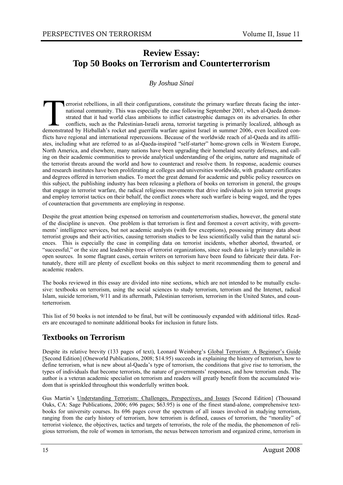#### **Review Essay: Top 50 Books on Terrorism and Counterterrorism**

#### *By Joshua Sinai*

**TERN EXECUTES AND EXECUTES** errorist rebellions, in all their configurations, constitute the primary warfare threats facing the international community. This was especially the case following September 2001, when al-Qaeda national community. This was especially the case following September 2001, when al-Qaeda demonstrated that it had world class ambitions to inflict catastrophic damages on its adversaries. In other conflicts, such as the Palestinian-Israeli arena, terrorist targeting is primarily localized, although as flicts have regional and international repercussions. Because of the worldwide reach of al-Qaeda and its affiliates, including what are referred to as al-Qaeda-inspired "self-starter" home-grown cells in Western Europe, North America, and elsewhere, many nations have been upgrading their homeland security defenses, and calling on their academic communities to provide analytical understanding of the origins, nature and magnitude of the terrorist threats around the world and how to counteract and resolve them. In response, academic courses and research institutes have been proliferating at colleges and universities worldwide, with graduate certificates and degrees offered in terrorism studies. To meet the great demand for academic and public policy resources on this subject, the publishing industry has been releasing a plethora of books on terrorism in general, the groups that engage in terrorist warfare, the radical religious movements that drive individuals to join terrorist groups and employ terrorist tactics on their behalf, the conflict zones where such warfare is being waged, and the types of counteraction that governments are employing in response.

Despite the great attention being expensed on terrorism and counterterrorism studies, however, the general state of the discipline is uneven. One problem is that terrorism is first and foremost a covert activity, with governments' intelligence services, but not academic analysts (with few exceptions), possessing primary data about terrorist groups and their activities, causing terrorism studies to be less scientifically valid than the natural sciences. This is especially the case in compiling data on terrorist incidents, whether aborted, thwarted, or "successful," or the size and leadership trees of terrorist organizations, since such data is largely unavailable in open sources. In some flagrant cases, certain writers on terrorism have been found to fabricate their data. Fortunately, there still are plenty of excellent books on this subject to merit recommending them to general and academic readers.

The books reviewed in this essay are divided into nine sections, which are not intended to be mutually exclusive: textbooks on terrorism, using the social sciences to study terrorism, terrorism and the Internet, radical Islam, suicide terrorism, 9/11 and its aftermath, Palestinian terrorism, terrorism in the United States, and counterterrorism.

This list of 50 books is not intended to be final, but will be continuously expanded with additional titles. Readers are encouraged to nominate additional books for inclusion in future lists.

#### **Textbooks on Terrorism**

Despite its relative brevity (133 pages of text), Leonard Weinberg's Global Terrorism: A Beginner's Guide [Second Edition] (Oneworld Publications, 2008; \$14.95) succeeds in explaining the history of terrorism, how to define terrorism, what is new about al-Qaeda's type of terrorism, the conditions that give rise to terrorism, the types of individuals that become terrorists, the nature of governments' responses, and how terrorism ends. The author is a veteran academic specialist on terrorism and readers will greatly benefit from the accumulated wisdom that is sprinkled throughout this wonderfully written book.

Gus Martin's Understanding Terrorism: Challenges, Perspectives, and Issues [Second Edition] (Thousand Oaks, CA: Sage Publications, 2006; 696 pages; \$63.95) is one of the finest stand-alone, comprehensive textbooks for university courses. Its 696 pages cover the spectrum of all issues involved in studying terrorism, ranging from the early history of terrorism, how terrorism is defined, causes of terrorism, the "morality" of terrorist violence, the objectives, tactics and targets of terrorists, the role of the media, the phenomenon of religious terrorism, the role of women in terrorism, the nexus between terrorism and organized crime, terrorism in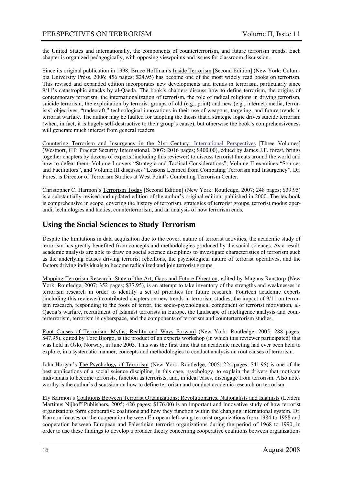the United States and internationally, the components of counterterrorism, and future terrorism trends. Each chapter is organized pedagogically, with opposing viewpoints and issues for classroom discussion.

Since its original publication in 1998, Bruce Hoffman's Inside Terrorism [Second Edition] (New York: Columbia University Press, 2006; 456 pages; \$24.95) has become one of the most widely read books on terrorism. This revised and expanded edition incorporates new developments and trends in terrorism, particularly since 9/11's catastrophic attacks by al-Qaeda. The book's chapters discuss how to define terrorism, the origins of contemporary terrorism, the internationalization of terrorism, the role of radical religions in driving terrorism, suicide terrorism, the exploitation by terrorist groups of old (e.g., print) and new (e.g., internet) media, terrorists' objectives, "tradecraft," technological innovations in their use of weapons, targeting, and future trends in terrorist warfare. The author may be faulted for adopting the thesis that a strategic logic drives suicide terrorism (when, in fact, it is hugely self-destructive to their group's cause), but otherwise the book's comprehensiveness will generate much interest from general readers.

Countering Terrorism and Insurgency in the 21st Century: International Perspectives [Three Volumes] (Westport, CT: Praeger Security International, 2007; 2016 pages; \$400.00), edited by James J.F. forest, brings together chapters by dozens of experts (including this reviewer) to discuss terrorist threats around the world and how to defeat them. Volume I covers "Strategic and Tactical Considerations", Volume II examines "Sources and Facilitators", and Volume III discusses "Lessons Learned from Combating Terrorism and Insurgency". Dr. Forest is Director of Terrorism Studies at West Point's Combating Terrorism Center.

Christopher C. Harmon's Terrorism Today [Second Edition] (New York: Routledge, 2007; 248 pages; \$39.95) is a substantially revised and updated edition of the author's original edition, published in 2000. The textbook is comprehensive in scope, covering the history of terrorism, strategies of terrorist groups, terrorist modus operandi, technologies and tactics, counterterrorism, and an analysis of how terrorism ends.

#### **Using the Social Sciences to Study Terrorism**

Despite the limitations in data acquisition due to the covert nature of terrorist activities, the academic study of terrorism has greatly benefited from concepts and methodologies produced by the social sciences. As a result, academic analysts are able to draw on social science disciplines to investigate characteristics of terrorism such as the underlying causes driving terrorist rebellions, the psychological nature of terrorist operatives, and the factors driving individuals to become radicalized and join terrorist groups.

Mapping Terrorism Research: State of the Art, Gaps and Future Direction, edited by Magnus Ranstorp (New York: Routledge, 2007; 352 pages; \$37.95), is an attempt to take inventory of the strengths and weaknesses in terrorism research in order to identify a set of priorities for future research. Fourteen academic experts (including this reviewer) contributed chapters on new trends in terrorism studies, the impact of 9/11 on terrorism research, responding to the roots of terror, the socio-psychological component of terrorist motivation, al-Qaeda's warfare, recruitment of Islamist terrorists in Europe, the landscape of intelligence analysis and counterterrorism, terrorism in cyberspace, and the components of terrorism and counterterrorism studies.

Root Causes of Terrorism: Myths, Reality and Ways Forward (New York: Routledge, 2005; 288 pages; \$47.95), edited by Tore Bjorgo, is the product of an experts workshop (in which this reviewer participated) that was held in Oslo, Norway, in June 2003. This was the first time that an academic meeting had ever been held to explore, in a systematic manner, concepts and methodologies to conduct analysis on root causes of terrorism.

John Horgan's The Psychology of Terrorism (New York: Routledge, 2005; 224 pages; \$41.95) is one of the best applications of a social science discipline, in this case, psychology, to explain the drivers that motivate individuals to become terrorists, function as terrorists, and, in ideal cases, disengage from terrorism. Also noteworthy is the author's discussion on how to define terrorism and conduct academic research on terrorism.

Ely Karmon's Coalitions Between Terrorist Organizations: Revolutionaries, Nationalists and Islamists (Leiden: Martinus Nijhoff Publishers, 2005; 426 pages; \$176.00) is an important and innovative study of how terrorist organizations form cooperative coalitions and how they function within the changing international system. Dr. Karmon focuses on the cooperation between European left-wing terrorist organizations from 1984 to 1988 and cooperation between European and Palestinian terrorist organizations during the period of 1968 to 1990, in order to use these findings to develop a broader theory concerning cooperative coalitions between organizations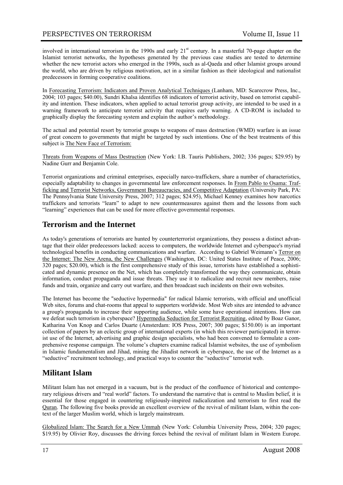involved in international terrorism in the 1990s and early  $21<sup>st</sup>$  century. In a masterful 70-page chapter on the Islamist terrorist networks, the hypotheses generated by the previous case studies are tested to determine whether the new terrorist actors who emerged in the 1990s, such as al-Qaeda and other Islamist groups around the world, who are driven by religious motivation, act in a similar fashion as their ideological and nationalist predecessors in forming cooperative coalitions.

In Forecasting Terrorism: Indicators and Proven Analytical Techniques (Lanham, MD: Scarecrow Press, Inc., 2004; 103 pages; \$40.00), Sundri Khalsa identifies 68 indicators of terrorist activity, based on terrorist capability and intention. These indicators, when applied to actual terrorist group activity, are intended to be used in a warning framework to anticipate terrorist activity that requires early warning. A CD-ROM is included to graphically display the forecasting system and explain the author's methodology.

The actual and potential resort by terrorist groups to weapons of mass destruction (WMD) warfare is an issue of great concern to governments that might be targeted by such intentions. One of the best treatments of this subject is The New Face of Terrorism:

Threats from Weapons of Mass Destruction (New York: I.B. Tauris Publishers, 2002; 336 pages; \$29.95) by Nadine Gurr and Benjamin Cole.

Terrorist organizations and criminal enterprises, especially narco-traffickers, share a number of characteristics, especially adaptability to changes in governmental law enforcement responses. In From Pablo to Osama: Trafficking and Terrorist Networks, Government Bureaucracies, and Competitive Adaptation (University Park, PA: The Pennsylvania State University Press, 2007; 312 pages; \$24.95), Michael Kenney examines how narcotics traffickers and terrorists "learn" to adapt to new countermeasures against them and the lessons from such "learning" experiences that can be used for more effective governmental responses.

#### **Terrorism and the Internet**

As today's generations of terrorists are hunted by counterterrorist organizations, they possess a distinct advantage that their older predecessors lacked: access to computers, the worldwide Internet and cyberspace's myriad technological benefits in conducting communications and warfare. According to Gabriel Weimann's Terror on the Internet: The New Arena, the New Challenges (Washington, DC: United States Institute of Peace, 2006; 320 pages; \$20.00), which is the first comprehensive study of this issue, terrorists have established a sophisticated and dynamic presence on the Net, which has completely transformed the way they communicate, obtain information, conduct propaganda and issue threats. They use it to radicalize and recruit new members, raise funds and train, organize and carry out warfare, and then broadcast such incidents on their own websites.

The Internet has become the "seductive hypermedia" for radical Islamic terrorists, with official and unofficial Web sites, forums and chat-rooms that appeal to supporters worldwide. Most Web sites are intended to advance a group's propaganda to increase their supporting audience, while some have operational intentions. How can we defeat such terrorism in cyberspace? Hypermedia Seduction for Terrorist Recruiting, edited by Boaz Ganor, Katharina Von Knop and Carlos Duarte (Amsterdam: IOS Press, 2007; 300 pages; \$150.00) is an important collection of papers by an eclectic group of international experts (in which this reviewer participated) in terrorist use of the Internet, advertising and graphic design specialists, who had been convened to formulate a comprehensive response campaign. The volume's chapters examine radical Islamist websites, the use of symbolism in Islamic fundamentalism and Jihad, mining the Jihadist network in cyberspace, the use of the Internet as a "seductive" recruitment technology, and practical ways to counter the "seductive" terrorist web.

#### **Militant Islam**

Militant Islam has not emerged in a vacuum, but is the product of the confluence of historical and contemporary religious drivers and "real world" factors. To understand the narrative that is central to Muslim belief, it is essential for those engaged in countering religiously-inspired radicalization and terrorism to first read the Quran. The following five books provide an excellent overview of the revival of militant Islam, within the context of the larger Muslim world, which is largely mainstream.

Globalized Islam: The Search for a New Ummah (New York: Columbia University Press, 2004; 320 pages; \$19.95) by Olivier Roy, discusses the driving forces behind the revival of militant Islam in Western Europe.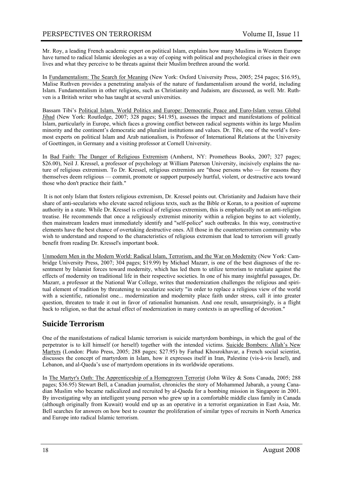Mr. Roy, a leading French academic expert on political Islam, explains how many Muslims in Western Europe have turned to radical Islamic ideologies as a way of coping with political and psychological crises in their own lives and what they perceive to be threats against their Muslim brethren around the world.

In Fundamentalism: The Search for Meaning (New York: Oxford University Press, 2005; 254 pages; \$16.95), Malise Ruthven provides a penetrating analysis of the nature of fundamentalism around the world, including Islam. Fundamentalism in other religions, such as Christianity and Judaism, are discussed, as well. Mr. Ruthven is a British writer who has taught at several universities.

Bassam Tibi's Political Islam, World Politics and Europe: Democratic Peace and Euro-Islam versus Global Jihad (New York: Routledge, 2007; 328 pages; \$41.95), assesses the impact and manifestations of political Islam, particularly in Europe, which faces a growing conflict between radical segments within its large Muslim minority and the continent's democratic and pluralist institutions and values. Dr. Tibi, one of the world's foremost experts on political Islam and Arab nationalism, is Professor of International Relations at the University of Goettingen, in Germany and a visiting professor at Cornell University.

In Bad Faith: The Danger of Religious Extremism (Amherst, NY: Prometheus Books, 2007; 327 pages; \$26.00), Neil J. Kressel, a professor of psychology at William Paterson University, incisively explains the nature of religious extremism. To Dr. Kressel, religious extremists are "those persons who — for reasons they themselves deem religious — commit, promote or support purposely hurtful, violent, or destructive acts toward those who don't practice their faith."

 It is not only Islam that fosters religious extremism, Dr. Kressel points out. Christianity and Judaism have their share of anti-secularists who elevate sacred religious texts, such as the Bible or Koran, to a position of supreme authority in a state. While Dr. Kressel is critical of religious extremism, this is emphatically not an anti-religion treatise. He recommends that once a religiously extremist minority within a religion begins to act violently, then mainstream leaders must immediately identify and "self-police" such outbreaks. In this way, constructive elements have the best chance of overtaking destructive ones. All those in the counterterrorism community who wish to understand and respond to the characteristics of religious extremism that lead to terrorism will greatly benefit from reading Dr. Kressel's important book.

Unmodern Men in the Modern World: Radical Islam, Terrorism, and the War on Modernity (New York: Cambridge University Press, 2007; 304 pages; \$19.99) by Michael Mazarr, is one of the best diagnoses of the resentment by Islamist forces toward modernity, which has led them to utilize terrorism to retaliate against the effects of modernity on traditional life in their respective societies. In one of his many insightful passages, Dr. Mazarr, a professor at the National War College, writes that modernization challenges the religious and spiritual element of tradition by threatening to secularize society "in order to replace a religious view of the world with a scientific, rationalist one... modernization and modernity place faith under stress, call it into greater question, threaten to trade it out in favor of rationalist humanism. And one result, unsurprisingly, is a flight back to religion, so that the actual effect of modernization in many contexts is an upwelling of devotion."

#### **Suicide Terrorism**

One of the manifestations of radical Islamic terrorism is suicide martyrdom bombings, in which the goal of the perpetrator is to kill himself (or herself) together with the intended victims. Suicide Bombers: Allah's New Martyrs (London: Pluto Press, 2005; 288 pages; \$27.95) by Farhad Khosrokhavar, a French social scientist, discusses the concept of martyrdom in Islam, how it expresses itself in Iran, Palestine (vis-à-vis Israel), and Lebanon, and al-Qaeda's use of martyrdom operations in its worldwide operations.

In The Martyr's Oath: The Apprenticeship of a Homegrown Terrorist (John Wiley & Sons Canada, 2005; 288 pages; \$36.95) Stewart Bell, a Canadian journalist, chronicles the story of Mohammed Jabarah, a young Canadian Muslim who became radicalized and recruited by al-Qaeda for a bombing mission in Singapore in 2001. By investigating why an intelligent young person who grew up in a comfortable middle class family in Canada (although originally from Kuwait) would end up as an operative in a terrorist organization in East Asia, Mr. Bell searches for answers on how best to counter the proliferation of similar types of recruits in North America and Europe into radical Islamic terrorism.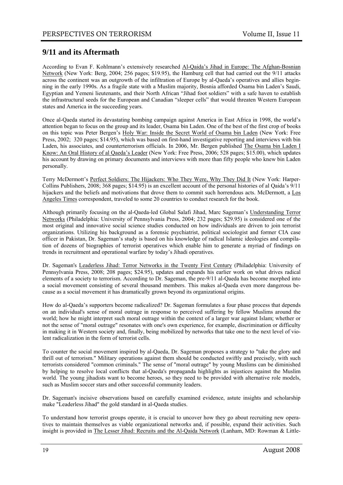#### **9/11 and its Aftermath**

According to Evan F. Kohlmann's extensively researched Al-Qaida's Jihad in Europe: The Afghan-Bosnian Network (New York: Berg, 2004; 256 pages; \$19.95), the Hamburg cell that had carried out the 9/11 attacks across the continent was an outgrowth of the infiltration of Europe by al-Qaeda's operatives and allies beginning in the early 1990s. As a fragile state with a Muslim majority, Bosnia afforded Osama bin Laden's Saudi, Egyptian and Yemeni lieutenants, and their North African "Jihad foot soldiers" with a safe haven to establish the infrastructural seeds for the European and Canadian "sleeper cells" that would threaten Western European states and America in the succeeding years.

Once al-Qaeda started its devastating bombing campaign against America in East Africa in 1998, the world's attention began to focus on the group and its leader, Osama bin Laden. One of the best of the first crop of books on this topic was Peter Bergen's Holy War: Inside the Secret World of Osama bin Laden (New York: Free Press, 2002; 320 pages; \$14.95), which was based on first-hand investigative reporting and interviews with bin Laden, his associates, and counterterrorism officials. In 2006, Mr. Bergen published The Osama bin Laden I Know: An Oral History of al Qaeda's Leader (New York: Free Press, 2006; 528 pages; \$15.00), which updates his account by drawing on primary documents and interviews with more than fifty people who knew bin Laden personally.

Terry McDermott's Perfect Soldiers: The Hijackers: Who They Were, Why They Did It (New York: Harper-Collins Publishers, 2008; 368 pages; \$14.95) is an excellent account of the personal histories of al Qaida's 9/11 hijackers and the beliefs and motivations that drove them to commit such horrendous acts. McDermott, a Los Angeles Times correspondent, traveled to some 20 countries to conduct research for the book.

Although primarily focusing on the al-Qaeda-led Global Salafi Jihad, Marc Sageman's Understanding Terror Networks (Philadelphia: University of Pennsylvania Press, 2004; 232 pages; \$29.95) is considered one of the most original and innovative social science studies conducted on how individuals are driven to join terrorist organizations. Utilizing his background as a forensic psychiatrist, political sociologist and former CIA case officer in Pakistan, Dr. Sageman's study is based on his knowledge of radical Islamic ideologies and compilation of dozens of biographies of terrorist operatives which enable him to generate a myriad of findings on trends in recruitment and operational warfare by today's Jihadi operatives.

Dr. Sageman's Leaderless Jihad: Terror Networks in the Twenty First Century (Philadelphia: University of Pennsylvania Press, 2008; 208 pages; \$24.95), updates and expands his earlier work on what drives radical elements of a society to terrorism. According to Dr. Sageman, the pre-9/11 al-Qaeda has become morphed into a social movement consisting of several thousand members. This makes al-Qaeda even more dangerous because as a social movement it has dramatically grown beyond its organizational origins.

How do al-Qaeda's supporters become radicalized? Dr. Sageman formulates a four phase process that depends on an individual's sense of moral outrage in response to perceived suffering by fellow Muslims around the world; how he might interpret such moral outrage within the context of a larger war against Islam; whether or not the sense of "moral outrage" resonates with one's own experience, for example, discrimination or difficulty in making it in Western society and, finally, being mobilized by networks that take one to the next level of violent radicalization in the form of terrorist cells.

To counter the social movement inspired by al-Qaeda, Dr. Sageman proposes a strategy to "take the glory and thrill out of terrorism." Military operations against them should be conducted swiftly and precisely, with such terrorists considered "common criminals." The sense of "moral outrage" by young Muslims can be diminished by helping to resolve local conflicts that al-Qaeda's propaganda highlights as injustices against the Muslim world. The young jihadists want to become heroes, so they need to be provided with alternative role models, such as Muslim soccer stars and other successful community leaders.

Dr. Sageman's incisive observations based on carefully examined evidence, astute insights and scholarship make "Leaderless Jihad" the gold standard in al-Qaeda studies.

To understand how terrorist groups operate, it is crucial to uncover how they go about recruiting new operatives to maintain themselves as viable organizational networks and, if possible, expand their activities. Such insight is provided in The Lesser Jihad: Recruits and the Al-Qaida Network (Lanham, MD: Rowman & Little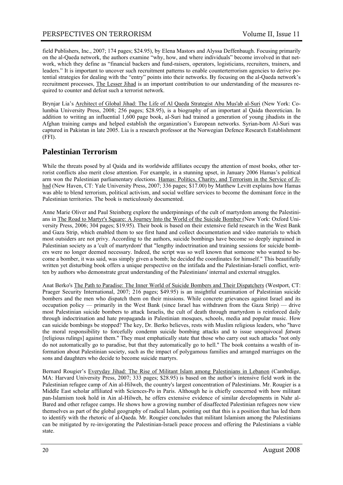field Publishers, Inc., 2007; 174 pages; \$24.95), by Elena Mastors and Alyssa Deffenbaugh. Focusing primarily on the al-Qaeda network, the authors examine "why, how, and where individuals" become involved in that network, which they define as "financial backers and fund-raisers, operators, logisticians, recruiters, trainers, and leaders." It is important to uncover such recruitment patterns to enable counterterrorism agencies to derive potential strategies for dealing with the "entry" points into their networks. By focusing on the al-Qaeda network's recruitment processes, The Lesser Jihad is an important contribution to our understanding of the measures required to counter and defeat such a terrorist network.

Brynjar Lia's Architect of Global Jihad: The Life of Al Qaeda Strategist Abu Mus'ab al-Suri (New York: Columbia University Press, 2008; 256 pages; \$28.95), is a biography of an important al Qaida theoretician. In addition to writing an influential 1,600 page book, al-Suri had trained a generation of young jihadists in the Afghan training camps and helped establish the organization's European networks. Syrian-born Al-Suri was captured in Pakistan in late 2005. Lia is a research professor at the Norwegian Defence Research Establishment (FFI).

#### **Palestinian Terrorism**

While the threats posed by al Qaida and its worldwide affiliates occupy the attention of most books, other terrorist conflicts also merit close attention. For example, in a stunning upset, in January 2006 Hamas's political arm won the Palestinian parliamentary elections. Hamas: Politics, Charity, and Terrorism in the Service of Jihad (New Haven, CT: Yale University Press, 2007; 336 pages; \$17.00) by Matthew Levitt explains how Hamas was able to blend terrorism, political activism, and social welfare services to become the dominant force in the Palestinian territories. The book is meticulously documented.

Anne Marie Oliver and Paul Steinberg explore the underpinnings of the cult of martyrdom among the Palestinians in The Road to Martyr's Square: A Journey Into the World of the Suicide Bomber (New York: Oxford University Press, 2006; 304 pages; \$19.95). Their book is based on their extensive field research in the West Bank and Gaza Strip, which enabled them to see first hand and collect documentation and video materials to which most outsiders are not privy. According to the authors, suicide bombings have become so deeply ingrained in Palestinian society as a 'cult of martyrdom' that "lengthy indoctrination and training sessions for suicide bombers were no longer deemed necessary. Indeed, the script was so well known that someone who wanted to become a bomber, it was said, was simply given a bomb; he decided the coordinates for himself." This beautifully written yet disturbing book offers a unique perspective on the intifada and the Palestinian-Israeli conflict, written by authors who demonstrate great understanding of the Palestinians' internal and external struggles.

Anat Berko's The Path to Paradise: The Inner World of Suicide Bombers and Their Dispatchers (Westport, CT: Praeger Security International, 2007; 216 pages; \$49.95) is an insightful examination of Palestinian suicide bombers and the men who dispatch them on their missions. While concrete grievances against Israel and its occupation policy — primarily in the West Bank (since Israel has withdrawn from the Gaza Strip) — drive most Palestinian suicide bombers to attack Israelis, the cult of death through martyrdom is reinforced daily through indoctrination and hate propaganda in Palestinian mosques, schools, media and popular music. How can suicide bombings be stopped? The key, Dr. Berko believes, rests with Muslim religious leaders, who "have the moral responsibility to forcefully condemn suicide bombing attacks and to issue unequivocal *fatwas* [religious rulings] against them." They must emphatically state that those who carry out such attacks "not only do not automatically go to paradise, but that they automatically go to hell." The book contains a wealth of information about Palestinian society, such as the impact of polygamous families and arranged marriages on the sons and daughters who decide to become suicide martyrs.

Bernard Rougier's Everyday Jihad: The Rise of Militant Islam among Palestinians in Lebanon (Cambrdige, MA: Harvard University Press, 2007; 333 pages; \$28.95) is based on the author's intensive field work in the Palestinian refugee camp of Ain al-Hilweh, the country's largest concentration of Palestinians. Mr. Rougier is a Middle East scholar affiliated with Sciences-Po in Paris. Although he is chiefly concerned with how militant pan-Islamism took hold in Ain al-Hilweh, he offers extensive evidence of similar developments in Nahr al-Bared and other refugee camps. He shows how a growing number of disaffected Palestinian refugees now view themselves as part of the global geography of radical Islam, pointing out that this is a position that has led them to identify with the rhetoric of al-Qaeda. Mr. Rougier concludes that militant Islamism among the Palestinians can be mitigated by re-invigorating the Palestinian-Israeli peace process and offering the Palestinians a viable state.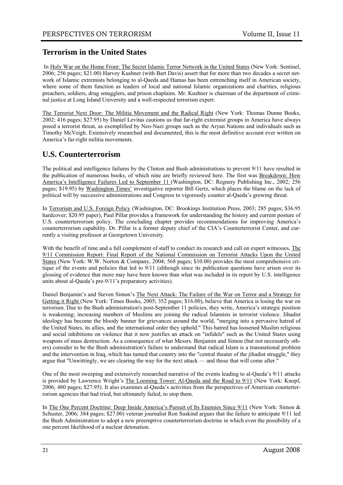#### **Terrorism in the United States**

 In Holy War on the Home Front: The Secret Islamic Terror Network in the United States (New York: Sentinel, 2006; 256 pages; \$21.00) Harvey Kushner (with Bart Davis) assert that for more than two decades a secret network of Islamic extremists belonging to al-Qaeda and Hamas has been entrenching itself in American society, where some of them function as leaders of local and national Islamic organizations and charities, religious preachers, soldiers, drug smugglers, and prison chaplains. Mr. Kushner is chairman of the department of criminal justice at Long Island University and a well-respected terrorism expert.

The Terrorist Next Door: The Militia Movement and the Radical Right (New York: Thomas Dunne Books, 2002; 416 pages; \$27.95) by Daniel Levitas cautions us that far-right extremist groups in America have always posed a terrorist threat, as exemplified by Neo-Nazi groups such as the Aryan Nations and individuals such as Timothy McVeigh. Extensively researched and documented, this is the most definitive account ever written on America's far-right militia movements.

#### **U.S. Counterterrorism**

The political and intelligence failures by the Clinton and Bush administrations to prevent 9/11 have resulted in the publication of numerous books, of which nine are briefly reviewed here. The first was Breakdown: How America's Intelligence Failures Led to September 11 (Washington, DC: Regnery Publishing Inc., 2002; 256 pages; \$19.95) by Washington Times' investigative reporter Bill Gertz, which places the blame on the lack of political will by successive administrations and Congress to vigorously counter al-Qaeda's growing threat.

In Terrorism and U.S. Foreign Policy (Washington, DC: Brookings Institution Press, 2003; 285 pages; \$36.95 hardcover; \$20.95 paper), Paul Pillar provides a framework for understanding the history and current posture of U.S. counterterrorism policy. The concluding chapter provides recommendations for improving America's counterterrorism capability. Dr. Pillar is a former deputy chief of the CIA's Counterterrorist Center, and currently a visiting professor at Georgetown University.

With the benefit of time and a full complement of staff to conduct its research and call on expert witnesses, The 9/11 Commission Report: Final Report of the National Commission on Terrorist Attacks Upon the United States (New York: W.W. Norton & Company, 2004; 568 pages; \$10.00) provides the most comprehensive critique of the events and policies that led to 9/11 (although since its publication questions have arisen over its glossing of evidence that more may have been known than what was included in its report by U.S. intelligence units about al-Qaeda's pre-9/11's preparatory activities).

Daniel Benjamin's and Steven Simon's The Next Attack: The Failure of the War on Terror and a Strategy for Getting it Right (New York: Times Books, 2005; 352 pages; \$16.00), believe that America is losing the war on terrorism. Due to the Bush administration's post-September 11 policies, they write, America's strategic position is weakening; increasing numbers of Muslims are joining the radical Islamists in terrorist violence. Jihadist ideology has become the bloody banner for grievances around the world, "merging into a pervasive hatred of the United States, its allies, and the international order they uphold." This hatred has loosened Muslim religious and social inhibitions on violence that it now justifies an attack on "infidels" such as the United States using weapons of mass destruction. As a consequence of what Messrs. Benjamin and Simon (but not necessarily others) consider to be the Bush administration's failure to understand that radical Islam is a transnational problem and the intervention in Iraq, which has turned that country into the "central theater of the jihadist struggle," they argue that "Unwittingly, we are clearing the way for the next attack — and those that will come after."

One of the most sweeping and extensively researched narrative of the events leading to al-Qaeda's 9/11 attacks is provided by Lawrence Wright's The Looming Tower: Al-Qaeda and the Road to 9/11 (New York: Knopf, 2006; 480 pages; \$27.95). It also examines al-Qaeda's activities from the perspectives of American counterterrorism agencies that had tried, but ultimately failed, to stop them.

In The One Percent Doctrine: Deep Inside America's Pursuit of Its Enemies Since 9/11 (New York: Simon & Schuster, 2006; 384 pages; \$27.00) veteran journalist Ron Suskind argues that the failure to anticipate 9/11 led the Bush Administration to adopt a new preemptive counterterrorism doctrine in which even the possibility of a one percent likelihood of a nuclear detonation.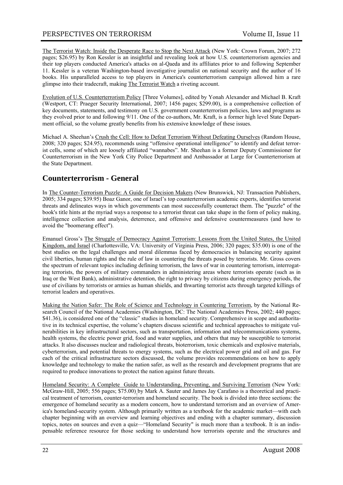The Terrorist Watch: Inside the Desperate Race to Stop the Next Attack (New York: Crown Forum, 2007; 272 pages; \$26.95) by Ron Kessler is an insightful and revealing look at how U.S. counterterrorism agencies and their top players conducted America's attacks on al-Qaeda and its affiliates prior to and following September 11. Kessler is a veteran Washington-based investigative journalist on national security and the author of 16 books. His unparalleled access to top players in America's counterterrorism campaign allowed him a rare glimpse into their tradecraft, making The Terrorist Watch a riveting account.

Evolution of U.S. Counterterrorism Policy [Three Volumes], edited by Yonah Alexander and Michael B. Kraft (Westport, CT: Praeger Security International, 2007; 1456 pages; \$299.00), is a comprehensive collection of key documents, statements, and testimony on U.S. government counterterrorism policies, laws and programs as they evolved prior to and following 9/11. One of the co-authors, Mr. Kraft, is a former high level State Department official, so the volume greatly benefits from his extensive knowledge of these issues.

Michael A. Sheehan's Crush the Cell: How to Defeat Terrorism Without Defeating Ourselves (Random House, 2008; 320 pages; \$24.95), recommends using "offensive operational intelligence" to identify and defeat terrorist cells, some of which are loosely affiliated "wannabes". Mr. Sheehan is a former Deputy Commissioner for Counterterrorism in the New York City Police Department and Ambassador at Large for Counterterrorism at the State Department.

#### **Counterterrorism - General**

In The Counter-Terrorism Puzzle: A Guide for Decision Makers (New Brunswick, NJ: Transaction Publishers, 2005; 334 pages; \$39.95) Boaz Ganor, one of Israel's top counterterrorism academic experts, identifies terrorist threats and delineates ways in which governments can most successfully counteract them. The "puzzle" of the book's title hints at the myriad ways a response to a terrorist threat can take shape in the form of policy making, intelligence collection and analysis, deterrence, and offensive and defensive countermeasures (and how to avoid the "boomerang effect").

Emanuel Gross's The Struggle of Democracy Against Terrorism: Lessons from the United States, the United Kingdom, and Israel (Charlottesville, VA: University of Virginia Press, 2006; 320 pages; \$35.00) is one of the best studies on the legal challenges and moral dilemmas faced by democracies in balancing security against civil liberties, human rights and the rule of law in countering the threats posed by terrorists. Mr. Gross covers the spectrum of relevant topics including defining terrorism, the laws of war in countering terrorism, interrogating terrorists, the powers of military commanders in administering areas where terrorists operate (such as in Iraq or the West Bank), administrative detention, the right to privacy by citizens during emergency periods, the use of civilians by terrorists or armies as human shields, and thwarting terrorist acts through targeted killings of terrorist leaders and operatives.

Making the Nation Safer: The Role of Science and Technology in Countering Terrorism, by the National Research Council of the National Academies (Washington, DC: The National Academies Press, 2002; 440 pages; \$41.36), is considered one of the "classic" studies in homeland security. Comprehensive in scope and authoritative in its technical expertise, the volume's chapters discuss scientific and technical approaches to mitigate vulnerabilities in key infrastructural sectors, such as transportation, information and telecommunications systems, health systems, the electric power grid, food and water supplies, and others that may be susceptible to terrorist attacks. It also discusses nuclear and radiological threats, bioterrorism, toxic chemicals and explosive materials, cyberterrorism, and potential threats to energy systems, such as the electrical power grid and oil and gas. For each of the critical infrastructure sectors discussed, the volume provides recommendations on how to apply knowledge and technology to make the nation safer, as well as the research and development programs that are required to produce innovations to protect the nation against future threats.

Homeland Security: A Complete Guide to Understanding, Preventing, and Surviving Terrorism (New York: McGraw-Hill, 2005; 556 pages; \$75.00) by Mark A. Sauter and James Jay Carafano is a theoretical and practical treatment of terrorism, counter-terrorism and homeland security. The book is divided into three sections: the emergence of homeland security as a modern concern, how to understand terrorism and an overview of America's homeland-security system. Although primarily written as a textbook for the academic market—with each chapter beginning with an overview and learning objectives and ending with a chapter summary, discussion topics, notes on sources and even a quiz—"Homeland Security" is much more than a textbook. It is an indispensable reference resource for those seeking to understand how terrorists operate and the structures and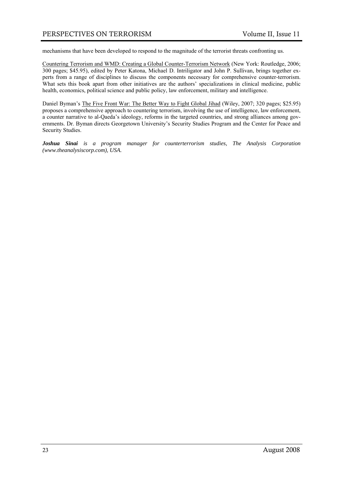mechanisms that have been developed to respond to the magnitude of the terrorist threats confronting us.

Countering Terrorism and WMD: Creating a Global Counter-Terrorism Network (New York: Routledge, 2006; 300 pages; \$45.95), edited by Peter Katona, Michael D. Intriligator and John P. Sullivan, brings together experts from a range of disciplines to discuss the components necessary for comprehensive counter-terrorism. What sets this book apart from other initiatives are the authors' specializations in clinical medicine, public health, economics, political science and public policy, law enforcement, military and intelligence.

Daniel Byman's The Five Front War: The Better Way to Fight Global Jihad (Wiley, 2007; 320 pages; \$25.95) proposes a comprehensive approach to countering terrorism, involving the use of intelligence, law enforcement, a counter narrative to al-Qaeda's ideology, reforms in the targeted countries, and strong alliances among governments. Dr. Byman directs Georgetown University's Security Studies Program and the Center for Peace and Security Studies.

*Joshua Sinai is a program manager for counterterrorism studies, The Analysis Corporation (www.theanalysiscorp.com), USA.*